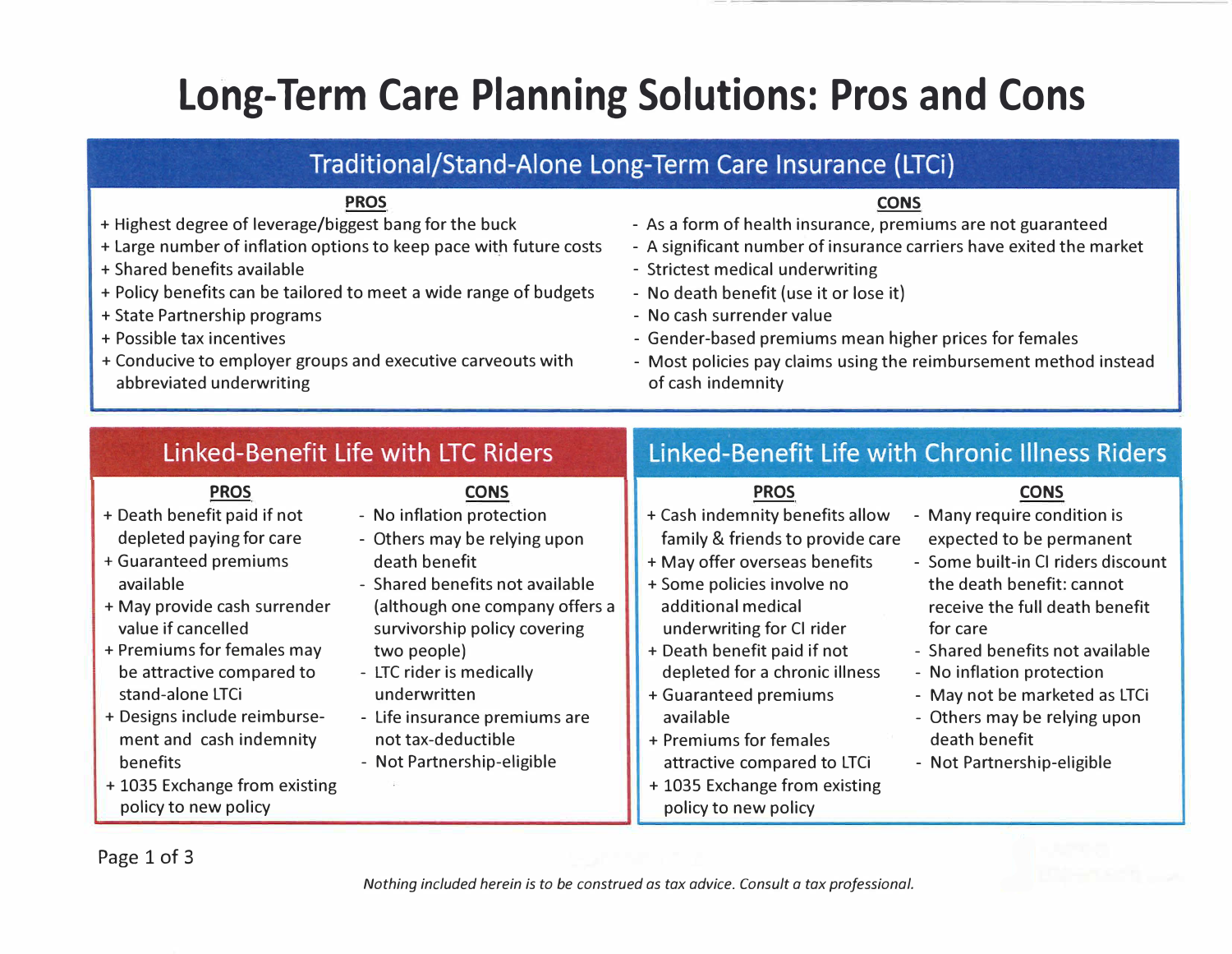# **Long-Term Care Planning Solutions: Pros and Cons**

### Traditional/Stand-Alone Long-Term Care Insurance (LTCi)

#### **PROS**

- + Highest degree of leverage/biggest bang for the buck
- + Large number of inflation options to keep pace with future costs
- + Shared benefits available
- + Policy benefits can be tailored to meet a wide range of budgets
- + State Partnership programs
- + Possible tax incentives
- + Conducive to employer groups and executive carveouts with abbreviated underwriting

#### **CONS**

- As a form of health insurance, premiums are not guaranteed
- A significant number of insurance carriers have exited the market
- Strictest medical underwriting
- No death benefit (use it or lose it)
- No cash surrender value
- Gender-based premiums mean higher prices for females
- Most policies pay claims using the reimbursement method instead of cash indemnity

### Linked-Benefit Life with LTC Riders

### **PROS**

- + Death benefit paid if not depleted paying for care
- + Guaranteed premiums available
- + May provide cash surrender value if cancelled
- + Premiums for females may be attractive compared to stand-alone LTCi
- + Designs include reimbursement and cash indemnity benefits
- + 1035 Exchange from existing policy to new policy

**CONS** 

- No inflation protection
- Others may be relying upon death benefit
- Shared benefits not available (although one company offers a survivorship policy covering two people)
- LTC rider is medically underwritten
- Life insurance premiums are not tax-deductible
- Not Partnership-eligible

## Linked-Benefit Life with Chronic Illness Riders

### **PROS**

- + Cash indemnity benefits allow family & friends to provide care
- + May offer overseas benefits
- + Some policies involve no additional medical underwriting for Cl rider
- + Death benefit paid if not depleted for a chronic illness
- + Guaranteed premiums
- available
- + Premiums for females attractive compared to LTCi
- + 1035 Exchange from existing policy to new policy

### **CONS**

- Many require condition is expected to be permanent
- Some built-in Cl riders discount the death benefit: cannot receive the full death benefit for care
- Shared benefits not available
- No inflation protection
- May not be marketed as LTCi
- Others may be relying upon death benefit
- Not Partnership-eligible

Page 1 of 3

*Nothing included herein is to be construed as tax advice. Consult a tax professional.*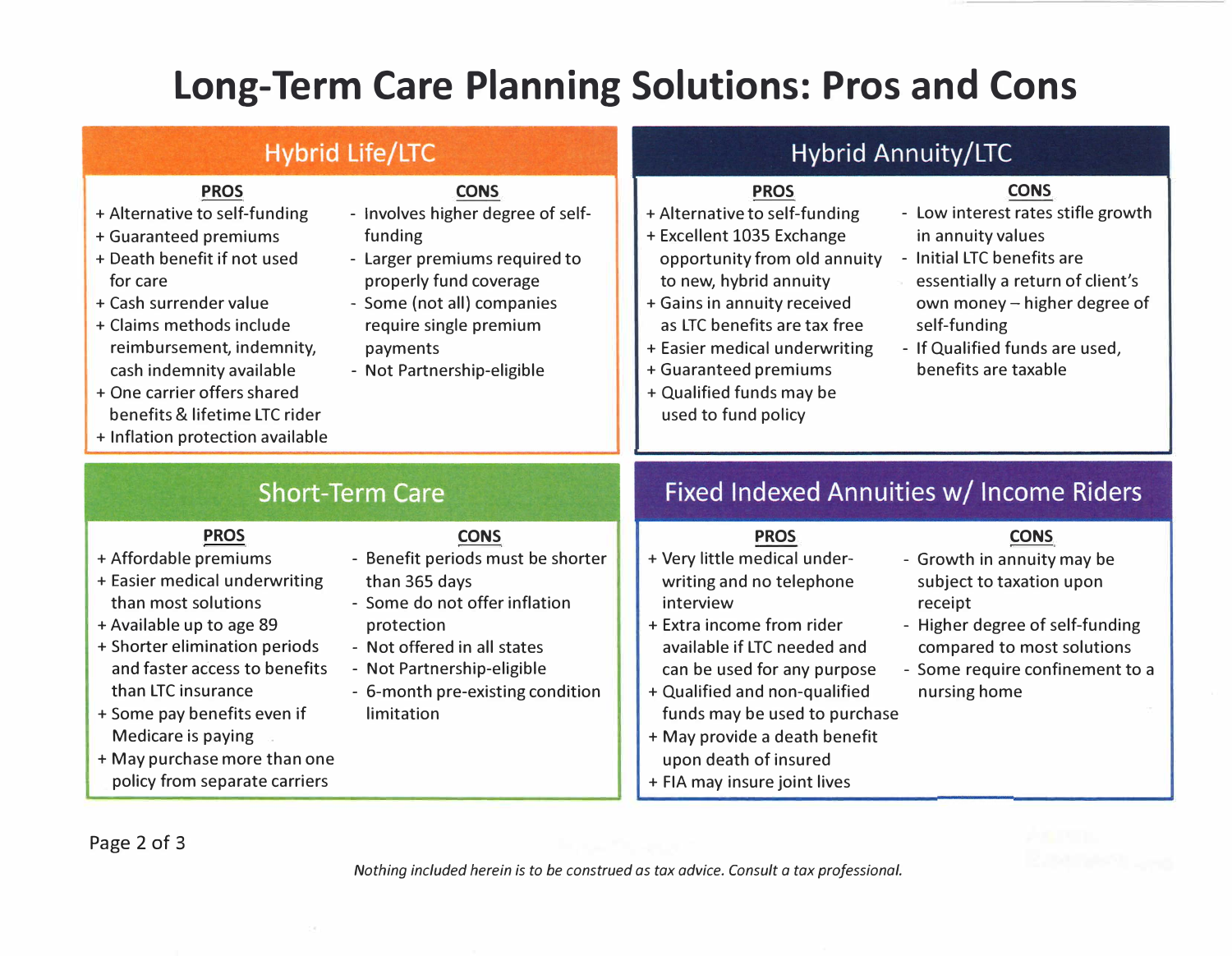# **Long-Term Care Planning Solutions: Pros and Cons**

### **Hybrid Life/LTC**

### **PROS**

- + Alternative to self-funding
- + Guaranteed premiums
- + Death benefit if not used for care
- + Cash surrender value
- + Claims methods include reimbursement, indemnity, cash indemnity available
- + One carrier offers shared benefits & lifetime LTC rider
- + Inflation protection available

#### **CONS**

- Involves higher degree of selffunding
- Larger premiums required to properly fund coverage
- Some (not all) companies require single premium payments
- Not Partnership-eligible

### Hybrid Annuity/LTC

### **PROS**

- + Alternative to self-funding
- + Excellent 1035 Exchange opportunity from old annuity - Initial LTC benefits are to new, hybrid annuity
- + Gains in annuity received as LTC benefits are tax free
- + Easier medical underwriting
- + Guaranteed premiums
- + Qualified funds may be used to fund policy

### **CONS**

- Low interest rates stifle growth in annuity values
- 
- essentially a return of client's own money - higher degree of self-funding
- If Qualified funds are used, benefits are taxable

### **Short-Term Care**

### **PROS**

- + Affordable premiums
- + Easier medical underwriting than most solutions
- + Available up to age 89
- + Shorter elimination periods and faster access to benefits than LTC insurance
- + Some pay benefits even if Medicare is paying
- + May purchase more than one policy from separate carriers

### **CONS**

- Benefit periods must be shorter than 365 days
- Some do not offer inflation protection
- Not offered in all states
- Not Partnership-eligible
- 6-month pre-existing condition limitation

### Fixed Indexed Annuities w/ Income Riders

#### **PROS**

- + Very little medical underwriting and no telephone interview
- + Extra income from rider available if LTC needed and can be used for any purpose
- + Qualified and non-qualified funds may be used to purchase
- + May provide a death benefit upon death of insured
- + FIA may insure joint lives

### **CONS**

- Growth in annuity may be subject to taxation upon receipt
- Higher degree of self-funding compared to most solutions
- Some require confinement to a nursing home

Page 2 of 3

*Nothing included herein is to be construed as tax advice. Consult a tax professional.*